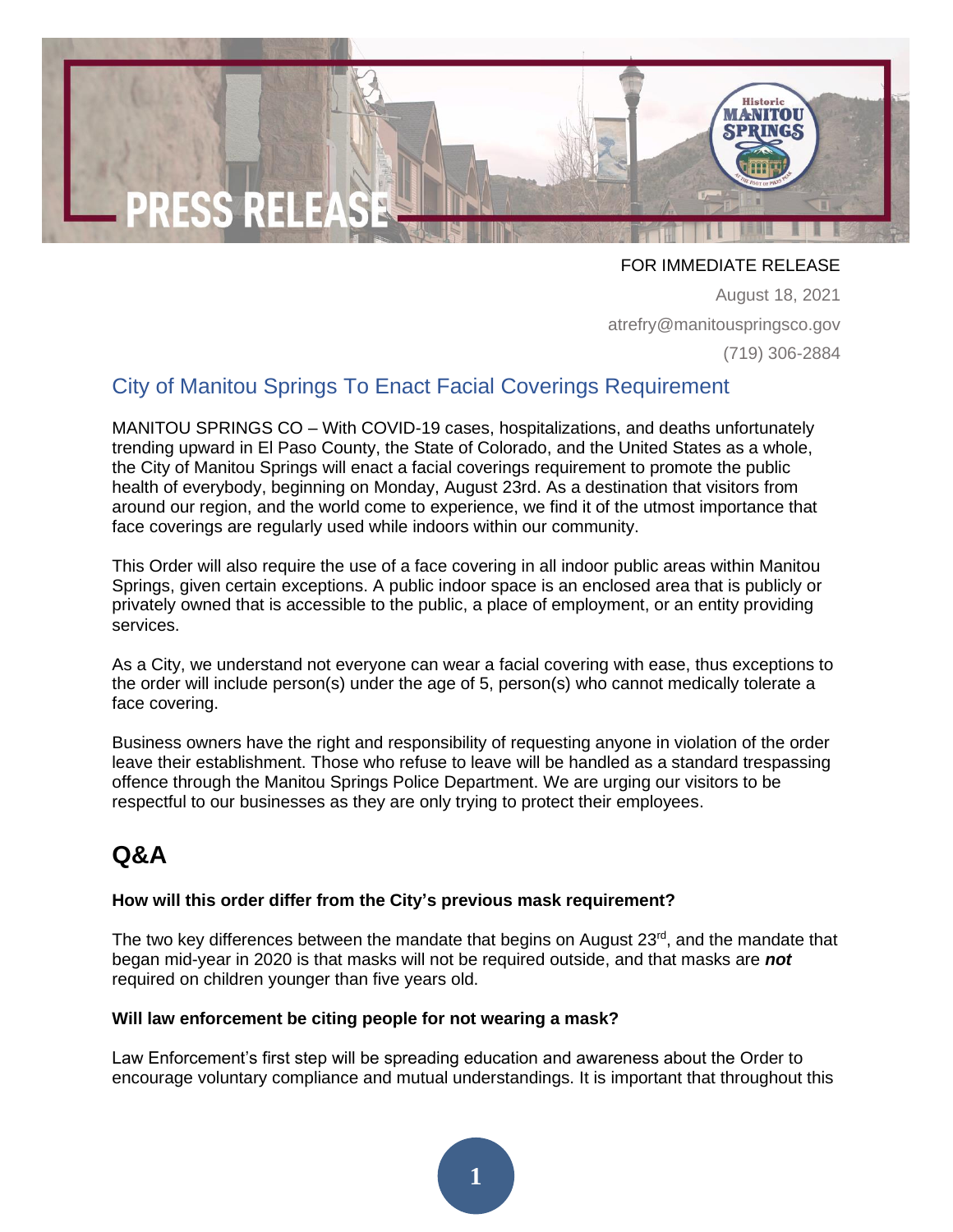

FOR IMMEDIATE RELEASE

August 18, 2021 atrefry@manitouspringsco.gov (719) 306-2884

## City of Manitou Springs To Enact Facial Coverings Requirement

MANITOU SPRINGS CO – With COVID-19 cases, hospitalizations, and deaths unfortunately trending upward in El Paso County, the State of Colorado, and the United States as a whole, the City of Manitou Springs will enact a facial coverings requirement to promote the public health of everybody, beginning on Monday, August 23rd. As a destination that visitors from around our region, and the world come to experience, we find it of the utmost importance that face coverings are regularly used while indoors within our community.

This Order will also require the use of a face covering in all indoor public areas within Manitou Springs, given certain exceptions. A public indoor space is an enclosed area that is publicly or privately owned that is accessible to the public, a place of employment, or an entity providing services.

As a City, we understand not everyone can wear a facial covering with ease, thus exceptions to the order will include person(s) under the age of 5, person(s) who cannot medically tolerate a face covering.

Business owners have the right and responsibility of requesting anyone in violation of the order leave their establishment. Those who refuse to leave will be handled as a standard trespassing offence through the Manitou Springs Police Department. We are urging our visitors to be respectful to our businesses as they are only trying to protect their employees.

# **Q&A**

### **How will this order differ from the City's previous mask requirement?**

The two key differences between the mandate that begins on August  $23<sup>rd</sup>$ , and the mandate that began mid-year in 2020 is that masks will not be required outside, and that masks are *not* required on children younger than five years old.

### **Will law enforcement be citing people for not wearing a mask?**

Law Enforcement's first step will be spreading education and awareness about the Order to encourage voluntary compliance and mutual understandings. It is important that throughout this